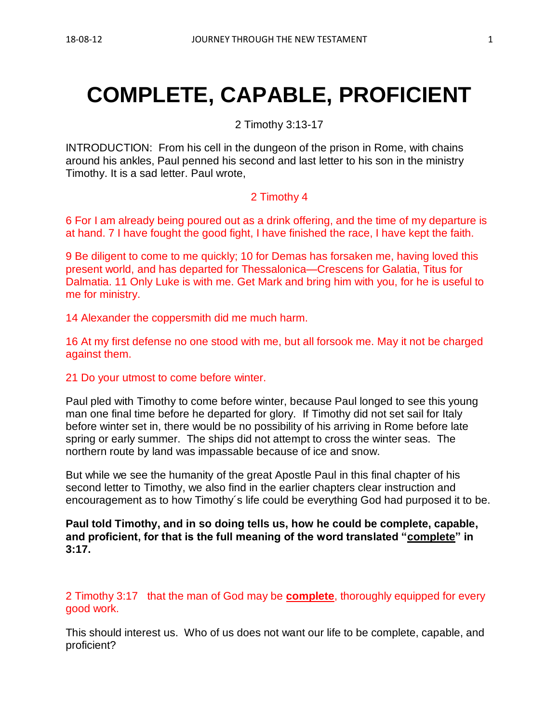# **COMPLETE, CAPABLE, PROFICIENT**

2 Timothy 3:13-17

INTRODUCTION: From his cell in the dungeon of the prison in Rome, with chains around his ankles, Paul penned his second and last letter to his son in the ministry Timothy. It is a sad letter. Paul wrote,

### 2 Timothy 4

6 For I am already being poured out as a drink offering, and the time of my departure is at hand. 7 I have fought the good fight, I have finished the race, I have kept the faith.

9 Be diligent to come to me quickly; 10 for Demas has forsaken me, having loved this present world, and has departed for Thessalonica—Crescens for Galatia, Titus for Dalmatia. 11 Only Luke is with me. Get Mark and bring him with you, for he is useful to me for ministry.

14 Alexander the coppersmith did me much harm.

16 At my first defense no one stood with me, but all forsook me. May it not be charged against them.

#### 21 Do your utmost to come before winter.

Paul pled with Timothy to come before winter, because Paul longed to see this young man one final time before he departed for glory. If Timothy did not set sail for Italy before winter set in, there would be no possibility of his arriving in Rome before late spring or early summer. The ships did not attempt to cross the winter seas. The northern route by land was impassable because of ice and snow.

But while we see the humanity of the great Apostle Paul in this final chapter of his second letter to Timothy, we also find in the earlier chapters clear instruction and encouragement as to how Timothy´s life could be everything God had purposed it to be.

**Paul told Timothy, and in so doing tells us, how he could be complete, capable, and proficient, for that is the full meaning of the word translated "complete" in 3:17.**

2 Timothy 3:17 that the man of God may be **complete**, thoroughly equipped for every good work.

This should interest us. Who of us does not want our life to be complete, capable, and proficient?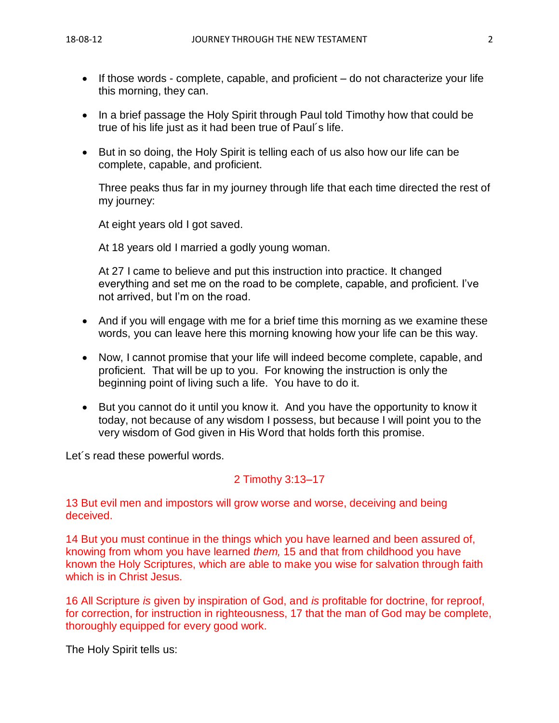- If those words complete, capable, and proficient do not characterize your life this morning, they can.
- In a brief passage the Holy Spirit through Paul told Timothy how that could be true of his life just as it had been true of Paul´s life.
- But in so doing, the Holy Spirit is telling each of us also how our life can be complete, capable, and proficient.

Three peaks thus far in my journey through life that each time directed the rest of my journey:

At eight years old I got saved.

At 18 years old I married a godly young woman.

At 27 I came to believe and put this instruction into practice. It changed everything and set me on the road to be complete, capable, and proficient. I've not arrived, but I'm on the road.

- And if you will engage with me for a brief time this morning as we examine these words, you can leave here this morning knowing how your life can be this way.
- Now, I cannot promise that your life will indeed become complete, capable, and proficient. That will be up to you. For knowing the instruction is only the beginning point of living such a life. You have to do it.
- But you cannot do it until you know it. And you have the opportunity to know it today, not because of any wisdom I possess, but because I will point you to the very wisdom of God given in His Word that holds forth this promise.

Let´s read these powerful words.

## 2 Timothy 3:13–17

13 But evil men and impostors will grow worse and worse, deceiving and being deceived.

14 But you must continue in the things which you have learned and been assured of, knowing from whom you have learned *them,* 15 and that from childhood you have known the Holy Scriptures, which are able to make you wise for salvation through faith which is in Christ Jesus.

16 All Scripture *is* given by inspiration of God, and *is* profitable for doctrine, for reproof, for correction, for instruction in righteousness, 17 that the man of God may be complete, thoroughly equipped for every good work.

The Holy Spirit tells us: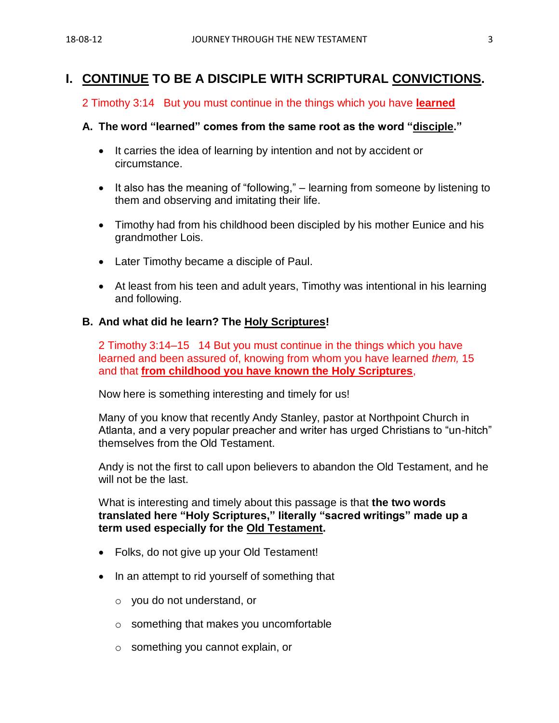## **I. CONTINUE TO BE A DISCIPLE WITH SCRIPTURAL CONVICTIONS.**

#### 2 Timothy 3:14 But you must continue in the things which you have **learned**

#### **A. The word "learned" comes from the same root as the word "disciple."**

- It carries the idea of learning by intention and not by accident or circumstance.
- It also has the meaning of "following," learning from someone by listening to them and observing and imitating their life.
- Timothy had from his childhood been discipled by his mother Eunice and his grandmother Lois.
- Later Timothy became a disciple of Paul.
- At least from his teen and adult years, Timothy was intentional in his learning and following.

#### **B. And what did he learn? The Holy Scriptures!**

2 Timothy 3:14–15 14 But you must continue in the things which you have learned and been assured of, knowing from whom you have learned *them,* 15 and that **from childhood you have known the Holy Scriptures**,

Now here is something interesting and timely for us!

Many of you know that recently Andy Stanley, pastor at Northpoint Church in Atlanta, and a very popular preacher and writer has urged Christians to "un-hitch" themselves from the Old Testament.

Andy is not the first to call upon believers to abandon the Old Testament, and he will not be the last.

What is interesting and timely about this passage is that **the two words translated here "Holy Scriptures," literally "sacred writings" made up a term used especially for the Old Testament.**

- Folks, do not give up your Old Testament!
- In an attempt to rid yourself of something that
	- o you do not understand, or
	- o something that makes you uncomfortable
	- o something you cannot explain, or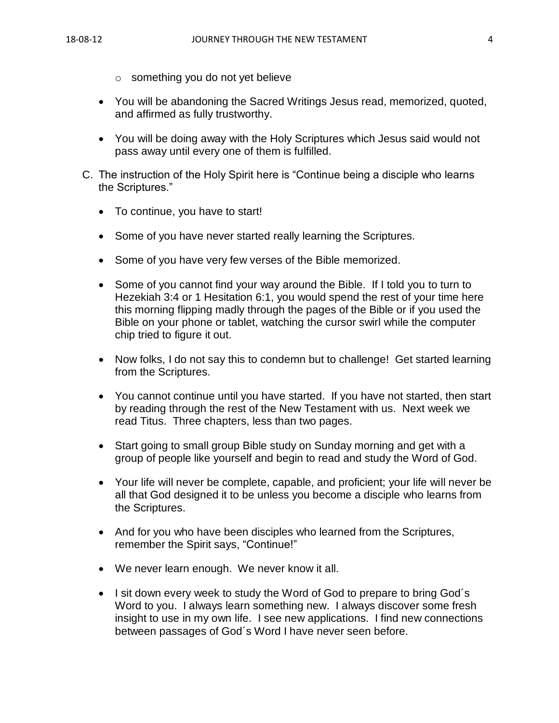- o something you do not yet believe
- You will be abandoning the Sacred Writings Jesus read, memorized, quoted, and affirmed as fully trustworthy.
- You will be doing away with the Holy Scriptures which Jesus said would not pass away until every one of them is fulfilled.
- C. The instruction of the Holy Spirit here is "Continue being a disciple who learns the Scriptures."
	- To continue, you have to start!
	- Some of you have never started really learning the Scriptures.
	- Some of you have very few verses of the Bible memorized.
	- Some of you cannot find your way around the Bible. If I told you to turn to Hezekiah 3:4 or 1 Hesitation 6:1, you would spend the rest of your time here this morning flipping madly through the pages of the Bible or if you used the Bible on your phone or tablet, watching the cursor swirl while the computer chip tried to figure it out.
	- Now folks, I do not say this to condemn but to challenge! Get started learning from the Scriptures.
	- You cannot continue until you have started. If you have not started, then start by reading through the rest of the New Testament with us. Next week we read Titus. Three chapters, less than two pages.
	- Start going to small group Bible study on Sunday morning and get with a group of people like yourself and begin to read and study the Word of God.
	- Your life will never be complete, capable, and proficient; your life will never be all that God designed it to be unless you become a disciple who learns from the Scriptures.
	- And for you who have been disciples who learned from the Scriptures, remember the Spirit says, "Continue!"
	- We never learn enough. We never know it all.
	- I sit down every week to study the Word of God to prepare to bring God's Word to you. I always learn something new. I always discover some fresh insight to use in my own life. I see new applications. I find new connections between passages of God´s Word I have never seen before.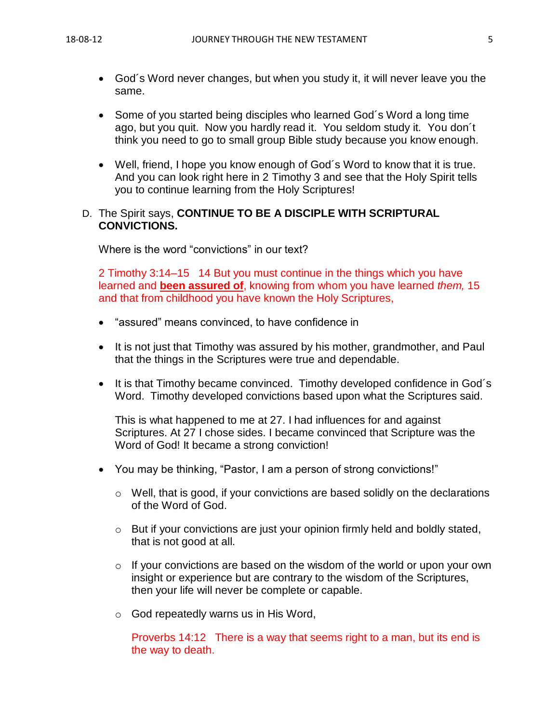- God´s Word never changes, but when you study it, it will never leave you the same.
- Some of you started being disciples who learned God's Word a long time ago, but you quit. Now you hardly read it. You seldom study it. You don´t think you need to go to small group Bible study because you know enough.
- Well, friend, I hope you know enough of God´s Word to know that it is true. And you can look right here in 2 Timothy 3 and see that the Holy Spirit tells you to continue learning from the Holy Scriptures!
- D. The Spirit says, **CONTINUE TO BE A DISCIPLE WITH SCRIPTURAL CONVICTIONS.**

Where is the word "convictions" in our text?

2 Timothy 3:14–15 14 But you must continue in the things which you have learned and **been assured of**, knowing from whom you have learned *them,* 15 and that from childhood you have known the Holy Scriptures,

- "assured" means convinced, to have confidence in
- It is not just that Timothy was assured by his mother, grandmother, and Paul that the things in the Scriptures were true and dependable.
- It is that Timothy became convinced. Timothy developed confidence in God's Word. Timothy developed convictions based upon what the Scriptures said.

This is what happened to me at 27. I had influences for and against Scriptures. At 27 I chose sides. I became convinced that Scripture was the Word of God! It became a strong conviction!

- You may be thinking, "Pastor, I am a person of strong convictions!"
	- $\circ$  Well, that is good, if your convictions are based solidly on the declarations of the Word of God.
	- o But if your convictions are just your opinion firmly held and boldly stated, that is not good at all.
	- $\circ$  If your convictions are based on the wisdom of the world or upon your own insight or experience but are contrary to the wisdom of the Scriptures, then your life will never be complete or capable.
	- o God repeatedly warns us in His Word,

Proverbs 14:12 There is a way that seems right to a man, but its end is the way to death.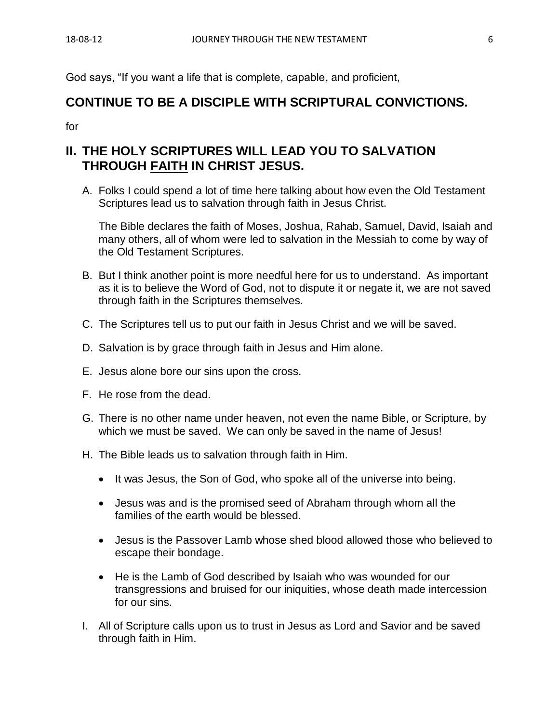God says, "If you want a life that is complete, capable, and proficient,

## **CONTINUE TO BE A DISCIPLE WITH SCRIPTURAL CONVICTIONS.**

for

# **II. THE HOLY SCRIPTURES WILL LEAD YOU TO SALVATION THROUGH FAITH IN CHRIST JESUS.**

A. Folks I could spend a lot of time here talking about how even the Old Testament Scriptures lead us to salvation through faith in Jesus Christ.

The Bible declares the faith of Moses, Joshua, Rahab, Samuel, David, Isaiah and many others, all of whom were led to salvation in the Messiah to come by way of the Old Testament Scriptures.

- B. But I think another point is more needful here for us to understand. As important as it is to believe the Word of God, not to dispute it or negate it, we are not saved through faith in the Scriptures themselves.
- C. The Scriptures tell us to put our faith in Jesus Christ and we will be saved.
- D. Salvation is by grace through faith in Jesus and Him alone.
- E. Jesus alone bore our sins upon the cross.
- F. He rose from the dead.
- G. There is no other name under heaven, not even the name Bible, or Scripture, by which we must be saved. We can only be saved in the name of Jesus!
- H. The Bible leads us to salvation through faith in Him.
	- It was Jesus, the Son of God, who spoke all of the universe into being.
	- Jesus was and is the promised seed of Abraham through whom all the families of the earth would be blessed.
	- Jesus is the Passover Lamb whose shed blood allowed those who believed to escape their bondage.
	- He is the Lamb of God described by Isaiah who was wounded for our transgressions and bruised for our iniquities, whose death made intercession for our sins.
- I. All of Scripture calls upon us to trust in Jesus as Lord and Savior and be saved through faith in Him.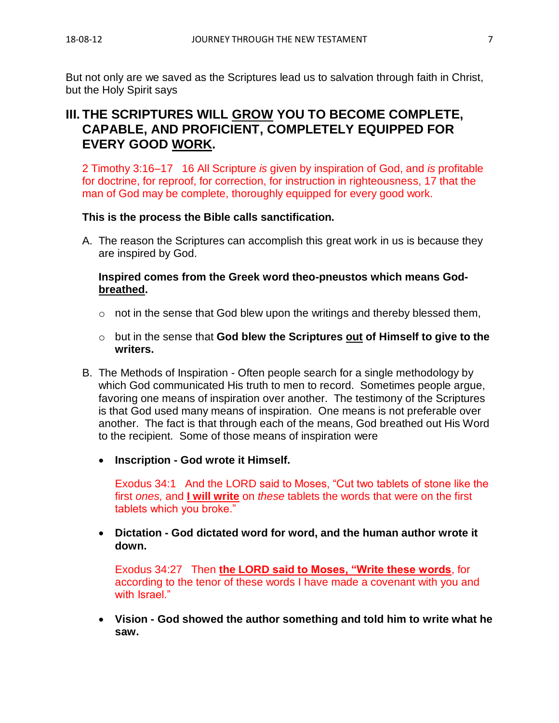But not only are we saved as the Scriptures lead us to salvation through faith in Christ, but the Holy Spirit says

# **III. THE SCRIPTURES WILL GROW YOU TO BECOME COMPLETE, CAPABLE, AND PROFICIENT, COMPLETELY EQUIPPED FOR EVERY GOOD WORK.**

2 Timothy 3:16–17 16 All Scripture *is* given by inspiration of God, and *is* profitable for doctrine, for reproof, for correction, for instruction in righteousness, 17 that the man of God may be complete, thoroughly equipped for every good work.

### **This is the process the Bible calls sanctification.**

A. The reason the Scriptures can accomplish this great work in us is because they are inspired by God.

## **Inspired comes from the Greek word theo-pneustos which means Godbreathed.**

- $\circ$  not in the sense that God blew upon the writings and thereby blessed them,
- o but in the sense that **God blew the Scriptures out of Himself to give to the writers.**
- B. The Methods of Inspiration Often people search for a single methodology by which God communicated His truth to men to record. Sometimes people argue, favoring one means of inspiration over another. The testimony of the Scriptures is that God used many means of inspiration. One means is not preferable over another. The fact is that through each of the means, God breathed out His Word to the recipient. Some of those means of inspiration were
	- **Inscription - God wrote it Himself.**

Exodus 34:1 And the LORD said to Moses, "Cut two tablets of stone like the first *ones,* and **I will write** on *these* tablets the words that were on the first tablets which you broke."

• **Dictation - God dictated word for word, and the human author wrote it down.**

Exodus 34:27 Then **the LORD said to Moses, "Write these words**, for according to the tenor of these words I have made a covenant with you and with Israel."

• **Vision - God showed the author something and told him to write what he saw.**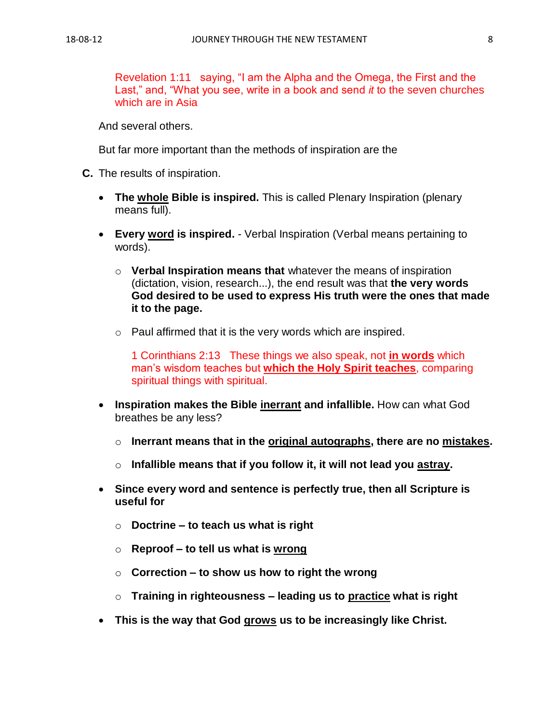Revelation 1:11 saying, "I am the Alpha and the Omega, the First and the Last," and, "What you see, write in a book and send *it* to the seven churches which are in Asia

And several others.

But far more important than the methods of inspiration are the

- **C.** The results of inspiration.
	- **The whole Bible is inspired.** This is called Plenary Inspiration (plenary means full).
	- **Every word is inspired.** Verbal Inspiration (Verbal means pertaining to words).
		- o **Verbal Inspiration means that** whatever the means of inspiration (dictation, vision, research...), the end result was that **the very words God desired to be used to express His truth were the ones that made it to the page.**
		- $\circ$  Paul affirmed that it is the very words which are inspired.

1 Corinthians 2:13 These things we also speak, not **in words** which man's wisdom teaches but **which the Holy Spirit teaches**, comparing spiritual things with spiritual.

- **Inspiration makes the Bible inerrant and infallible.** How can what God breathes be any less?
	- o **Inerrant means that in the original autographs, there are no mistakes.**
	- o **Infallible means that if you follow it, it will not lead you astray.**
- **Since every word and sentence is perfectly true, then all Scripture is useful for**
	- o **Doctrine – to teach us what is right**
	- o **Reproof – to tell us what is wrong**
	- o **Correction – to show us how to right the wrong**
	- o **Training in righteousness – leading us to practice what is right**
- **This is the way that God grows us to be increasingly like Christ.**